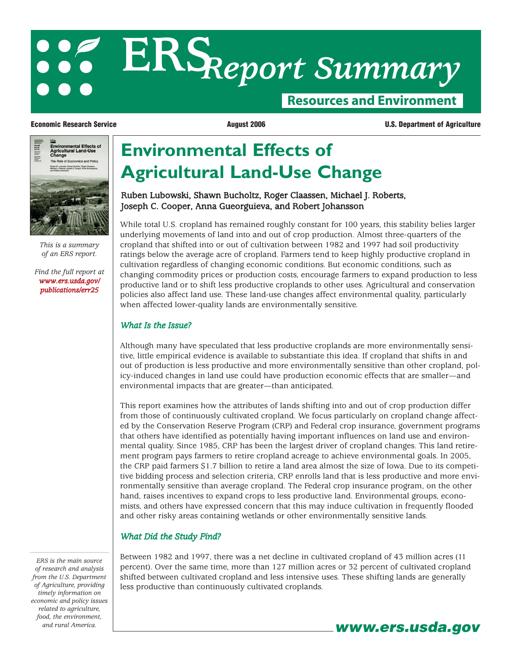# **Resources and Environment ERS***Report Summary*



*This is a summary of an ERS report.*

*[Find the full report at](/publications/err25/) www.ers.usda.gov/ publications/err25*

**Economic Research Service August 2006 U.S. Department of Agriculture**

## **Environmental Effects of Agricultural Land-Use Change**

#### Ruben Lubowski, Shawn Bucholtz, Roger Claassen, Michael J. Roberts, Joseph C. Cooper, Anna Gueorguieva, and Robert Johansson

While total U.S. cropland has remained roughly constant for 100 years, this stability belies larger underlying movements of land into and out of crop production. Almost three-quarters of the cropland that shifted into or out of cultivation between 1982 and 1997 had soil productivity ratings below the average acre of cropland. Farmers tend to keep highly productive cropland in cultivation regardless of changing economic conditions. But economic conditions, such as changing commodity prices or production costs, encourage farmers to expand production to less productive land or to shift less productive croplands to other uses. Agricultural and conservation policies also affect land use. These land-use changes affect environmental quality, particularly when affected lower-quality lands are environmentally sensitive.

#### *What Is the Issue?*

Although many have speculated that less productive croplands are more environmentally sensitive, little empirical evidence is available to substantiate this idea. If cropland that shifts in and out of production is less productive and more environmentally sensitive than other cropland, policy-induced changes in land use could have production economic effects that are smaller—and environmental impacts that are greater—than anticipated.

This report examines how the attributes of lands shifting into and out of crop production differ from those of continuously cultivated cropland. We focus particularly on cropland change affected by the Conservation Reserve Program (CRP) and Federal crop insurance, government programs that others have identified as potentially having important influences on land use and environmental quality. Since 1985, CRP has been the largest driver of cropland changes. This land retirement program pays farmers to retire cropland acreage to achieve environmental goals. In 2005, the CRP paid farmers \$1.7 billion to retire a land area almost the size of Iowa. Due to its competitive bidding process and selection criteria, CRP enrolls land that is less productive and more environmentally sensitive than average cropland. The Federal crop insurance program, on the other hand, raises incentives to expand crops to less productive land. Environmental groups, economists, and others have expressed concern that this may induce cultivation in frequently flooded and other risky areas containing wetlands or other environmentally sensitive lands.

#### *What Did the Study Find?*

Between 1982 and 1997, there was a net decline in cultivated cropland of 43 million acres (11 percent). Over the same time, more than 127 million acres or 32 percent of cultivated cropland shifted between cultivated cropland and less intensive uses. These shifting lands are generally less productive than continuously cultivated croplands.

**www.ers.usda.gov**

*ERS is the main source of research and analysis from the U.S. Department of Agriculture, providing timely information on economic and policy issues related to agriculture, food, the environment, and rural America.*